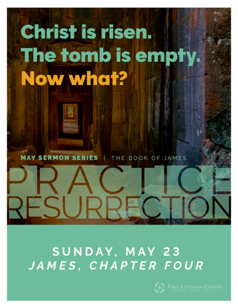## Christ is risen. The tomb is empty. Now what?

**MAY SERMON SERIES** THE BOOK OF JAMES

ESURI

### SUNDAY, MAY 23 JAMES, CHAPTER FOUR

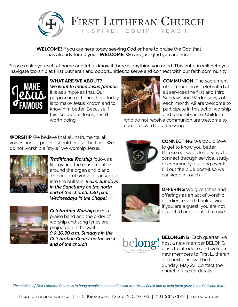

FIRST LUTHERAN CHURCH INSPIRE. EQUIP. REACH.

**WELCOME!** If you are here today seeking God or here to praise the God that has already found you... **WELCOME.** We are just glad you are here.

Please make yourself at home and let us know if there is anything you need. This bulletin will help you navigate worship at First Lutheran and opportunities to serve and connect with our faith community.



**WHAT ARE WE ABOUT?**  *We want to make Jesus famous.*  It is as simple as that. Our purpose in gathering here today is to make Jesus known and to know him better. Because if this isn't about Jesus, it isn't worth doing.



**COMMUNION** The sacrament of Communion is celebrated at all services the first and third Sundays and Wednesdays of each month. All are welcome to participate in this act of worship and remembrance. Children

who do not receive communion are welcome to come forward for a blessing.

**WORSHIP** We believe that all instruments, all voices and all people should praise the Lord. We do not worship a "style," we worship Jesus.



*Traditional Worship* follows a liturgy and the music centers around the organ and piano. The order of worship is inserted into the bulletin. *9 a.m. Sundays in the Sanctuary on the north end of the church; 1:30 p.m. Wednesdays in the Chapel.*



*Celebration Worship* uses a praise band and the order of worship and song lyrics are projected on the wall. *9 & 10:30 a.m. Sundays in the Celebration Center on the west end of the church*



**CONNECTING** We would love to get to know you better. Peruse our website for ways to connect through service, study, or community-building events. Fill out the blue post-it so we can keep in touch.



**OFFERING** We give tithes and offerings as an act of worship, obedience, and thanksgiving. If you are a guest, you are not expected or obligated to give.



**BELONGING** Each quarter, we host a new member BELONG class to introduce and welcome new members to First Lutheran. The next class will be held Sunday, May 23. Contact the church office for details.

*The mission of First Lutheran Church is to bring people into a relationship with Jesus Christ and to help them grow in the Christian faith.*

FIRST LUTHERAN CHURCH | 619 BROADWAY, FARGO ND, 58102 | 701.235.7389 | FLCFARGO.ORG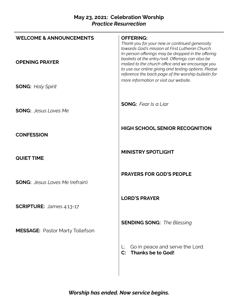#### **May 23, 2021: Celebration Worship** *Practice Resurrection*

| <b>WELCOME &amp; ANNOUNCEMENTS</b>     | <b>OFFERING:</b><br>Thank you for your new or continued generosity<br>towards God's mission at First Lutheran Church.<br>In-person offerings may be dropped in the offering                                         |
|----------------------------------------|---------------------------------------------------------------------------------------------------------------------------------------------------------------------------------------------------------------------|
| <b>OPENING PRAYER</b>                  | baskets at the entry/exit. Offerings can also be<br>mailed to the church office and we encourage you<br>to use our online giving and texting options. Please<br>reference the back page of the worship bulletin for |
| <b>SONG: Holy Spirit</b>               | more information or visit our website.                                                                                                                                                                              |
| <b>SONG:</b> Jesus Loves Me            | <b>SONG:</b> Fear Is a Liar                                                                                                                                                                                         |
| <b>CONFESSION</b>                      | <b>HIGH SCHOOL SENIOR RECOGNITION</b>                                                                                                                                                                               |
| <b>QUIET TIME</b>                      | <b>MINISTRY SPOTLIGHT</b>                                                                                                                                                                                           |
| <b>SONG:</b> Jesus Loves Me (refrain)  | <b>PRAYERS FOR GOD'S PEOPLE</b>                                                                                                                                                                                     |
| <b>SCRIPTURE:</b> James 4:13-17        | <b>LORD'S PRAYER</b>                                                                                                                                                                                                |
| <b>MESSAGE: Pastor Marty Tollefson</b> | <b>SENDING SONG:</b> The Blessing                                                                                                                                                                                   |
|                                        | Go in peace and serve the Lord.<br><b>Thanks be to God!</b><br>$\mathbf{C}$ :                                                                                                                                       |
|                                        |                                                                                                                                                                                                                     |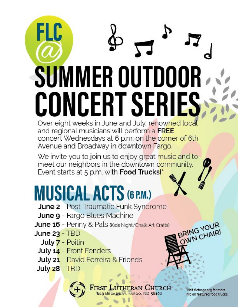# FLC **SUMMER OUTDOOR** CONCERT SERIES Over eight weeks in June and July, renowned local

and regional musicians will perform a FREE concert Wednesdays at 6 p.m. on the corner of 6th Avenue and Broadway in downtown Fargo.

We invite you to join us to enjoy great music and to meet our neighbors in the downtown community. Event starts at 5 p.m. with Food Trucks!\*

## **MUSICAL ACTS (6 P.M.)**

- June 2 Post-Traumatic Funk Syndrome
- June 9 Fargo Blues Machine
- June 16 Penny & Pals (Kids Night/Chalk Art Crafts)
- **June 23 TBD** 
	- July 7 Poitin
- July 14 Front Fenders
- July 21 David Ferreira & Friends
- **July 28 TBD**



FARGO, ND 58102 619 BROAD

Visit flcfargo.org for more info on featured food trucks.

BRING YOUR<br>OWN CHAIR!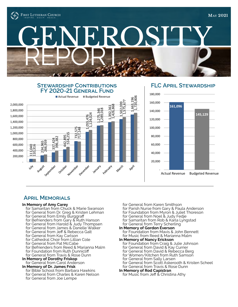

# GENEROSITY

#### **STEWARDSHIP CONTRIBUTIONS Stewardship Contributions FY 2019-20 GENERAL FUND FY 2020-21 General Fund**



#### **FLC April Stewardship FLC April Stewardship**

![](_page_4_Figure_6.jpeg)

#### **April Memorials**

#### **In Memory of Amy Carey**

- for Samaritan from Chuck & Marie Swanson
- for General from Dr. Greg & Kristen Lehman
- for General from Emily Burggraff
- for Befrienders from Gary & Ruth Hanson
- for General from Harold & Judy Thompsen
- for General from James & Danelle Walker
- for General from Jeff & Rebecca Galt
- for General from Kay Carlson
- for Cathedral Choir from Lillian Cole
- for General from Pat McCabe
- for Befrienders from Reed & Marianna Malm
- for Foundation from Ruth Dunnicliff
- for General from Travis & Rose Dunn

#### **In Memory of Dorothy Friskop**  for General from Carol Anderson

#### **In Memory of Dr. James Frisk**

- for Bible School from Barbara Hawkins for General from Charles & Karen Nelson
- for General from Joe Lempe

for General from Karen Smithson

- for Parish Nurse from Gary & Paula Anderson
- for Foundation from Myron & Juliet Thoreson
- for General from Noel & Judy Fedje
- for Samaritan from Rob & Karla Lyngstad
- for General from Terry Scherling
- **In Memory of Gordon Everson** for Foundation from Mavis & John Bennett
- for Music from Reed & Marianna Malm
- **In Memory of Nancy Erickson**
	- for Foundation from Craig & Julie Johnson
	- for General from David & Kay Currier
	- for General from David & Rebecca Berg
	- for Women/Kitchen from Ruth Samson for General from Sally Larsen
	-
	- for General from Scott Askerooth & Kristen Scheel for General from Travis & Rose Dunn

for Music from Jeff & Christina Athy

**In Memory of Rod Capistran**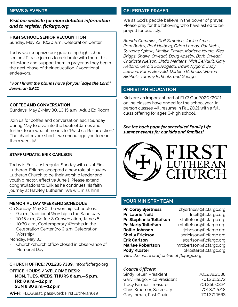#### *Visit our website for more detailed information and to register, flcfargo.org.*

**HIGH SCHOOL SENIOR RECOGNITION** Sunday, May 23, 10:30 a.m., Celebration Center

Today we recognize our graduating high school seniors! Please join us to celebrate with them this milestone and support them in prayer as they begin the next phase of their education / vocational endeavors.

#### *"'For I know the plans I have for you,' says the Lord." Jeremiah 29:11*

#### **COFFEE AND CONVERSATION**

Sundays, May 2-May 30, 10:15 a.m., Adult Ed Room

Join us for coffee and conversation each Sunday during May to dive into the book of James and further learn what it means to "Practice Resurrection." The chapters are short - we encourage you to read them weekly!

#### **STAFF UPDATE: ERIK CARLSON**

Today is Erik's last regular Sunday with us at First Lutheran. Erik has accepted a new role at Hawley Lutheran Church to be their worship leader and youth director, effective June 1. Please extend congratulations to Erik as he continues his faith journey at Hawley Lutheran. We will miss him!

#### **MEMORIAL DAY WEEKEND SCHEDULE**

On Sunday, May 30, the worship schedule is:

- 9 a.m., Traditional Worship in the Sanctuary
- 10:15 a.m., Coffee & Conversation, James 5
- 10:30 a.m., Contemporary Worship in the Celebration Center (no 9 a.m. Celebration Worship).

Monday, May 31:

• Church/church office closed in observance of Memorial Day

#### **CHURCH OFFICE: 701.235.7389,** info@flcfargo.org

**OFFICE HOURS / WELCOME DESK: MON, TUES, WEDS, THURS 8 a.m.—5 p.m. FRI: 8 a.m.—12 p.m. SUN 8:30 a.m.—12 p.m.**

**Wi-Fi:** FLCGuest, password: FirstLutheran619

#### **NEWS & EVENTS CELEBRATE PRAYER**

We as God's people believe in the power of prayer. Please pray for the following who have asked to be prayed for publicly:

*Brenda Cummins, Gail Zimprich, Janice Ames, Pam Burley, Paul Hulberg, Orlan Loraas, Pat Krebs, Suzanne Spiese, Marilyn Parker, Marlene Young, Wes Briggs, Shawn Orvedal, Doug Aaseby, Barb Orvedal, Charlotte Nielson, Linda Merkens, Nick DeNault, Gary Helland, Gerald Sauvageau, Dawn Nygord, Judy Loewen, Karen Breivold, Darlene Birkholz, Warren Birkholz, Tammy Birkholz, and George.*

#### **CHRISTIAN EDUCATION**

Kids are an important part of FLC! Our 2020/2021 online classes have ended for the school year. Inperson classes will resume in Fall 2021 with a full class offering for ages 3-high school.

*See the back page for scheduled Family Life summer events for our kids and families!*

![](_page_5_Picture_26.jpeg)

#### **YOUR MINISTRY TEAM**

**Pr. Corey Bjertness** cbjertness@flcfargo.org **Pr. Laurie Neill Cauca Cauca Contract League Cauca Cauca Cauca Cauca Cauca Cauca Cauca Cauca Cauca Cauca Cauca Cauca Cauca Cauca Cauca Cauca Cauca Cauca Cauca Cauca Cauca Cauca Cauca Cauca Cauca Cauca Cauca Cauca Cauca Pr. Stephanie Tollefson** stollefson@flcfargo.org **Pr. Marty Tollefson** mtollefson@flcfargo.org **Rollie Johnson** rjohnson@flcfargo.org **Shelly Erickson** serickson@flcfargo.org **Erik Carlson** ecarlson@flcfargo.org **Marlee Robertson** mrobertson@flcfargo.org **Polly Kloster pkloster@flcfargo.org** *View the entire staff online at flcfargo.org*

#### *Council Officers:*

Sindy Keller, President 701.238.2088 Gary Haugo, Vice President 701.261.5172 Tracy Farmer, Treasurer 701.356.0324 Chris Kraemer, Secretary 701.371.5718 Gary Inman, Past Chair 701.371.1563